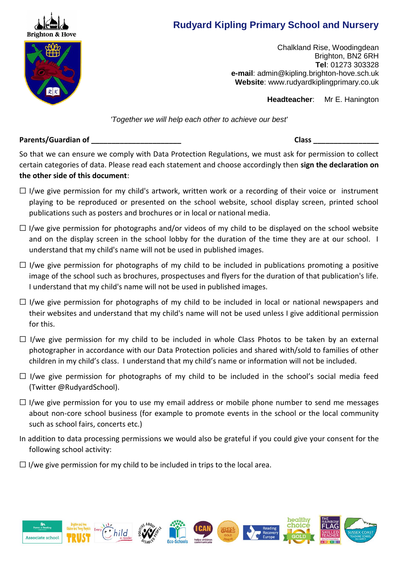

# **Rudyard Kipling Primary School and Nursery**

Chalkland Rise, Woodingdean Brighton, BN2 6RH **Tel**: 01273 303328 **e-mail**: [admin@kipling.brighton-hove.sch.uk](mailto:admin@kipling.brighton-hove.sch.uk) **Website**: www.rudyardkiplingprimary.co.uk

 **Headteacher**: Mr E. Hanington

*'Together we will help each other to achieve our best'*

# **Parents/Guardian of \_\_\_\_\_\_\_\_\_\_\_\_\_\_\_\_\_\_\_\_\_\_ Class \_\_\_\_\_\_\_\_\_\_\_\_\_\_\_\_**

So that we can ensure we comply with Data Protection Regulations, we must ask for permission to collect certain categories of data. Please read each statement and choose accordingly then **sign the declaration on the other side of this document**:

- $\Box$  I/we give permission for my child's artwork, written work or a recording of their voice or instrument playing to be reproduced or presented on the school website, school display screen, printed school publications such as posters and brochures or in local or national media.
- $\Box$  I/we give permission for photographs and/or videos of my child to be displayed on the school website and on the display screen in the school lobby for the duration of the time they are at our school. I understand that my child's name will not be used in published images.
- $\Box$  I/we give permission for photographs of my child to be included in publications promoting a positive image of the school such as brochures, prospectuses and flyers for the duration of that publication's life. I understand that my child's name will not be used in published images.
- $\Box$  I/we give permission for photographs of my child to be included in local or national newspapers and their websites and understand that my child's name will not be used unless I give additional permission for this.
- $\Box$  I/we give permission for my child to be included in whole Class Photos to be taken by an external photographer in accordance with our Data Protection policies and shared with/sold to families of other children in my child's class. I understand that my child's name or information will not be included.
- $\Box$  I/we give permission for photographs of my child to be included in the school's social media feed (Twitter @RudyardSchool).
- $\Box$  I/we give permission for you to use my email address or mobile phone number to send me messages about non-core school business (for example to promote events in the school or the local community such as school fairs, concerts etc.)
- In addition to data processing permissions we would also be grateful if you could give your consent for the following school activity:
- $\Box$  I/we give permission for my child to be included in trips to the local area.